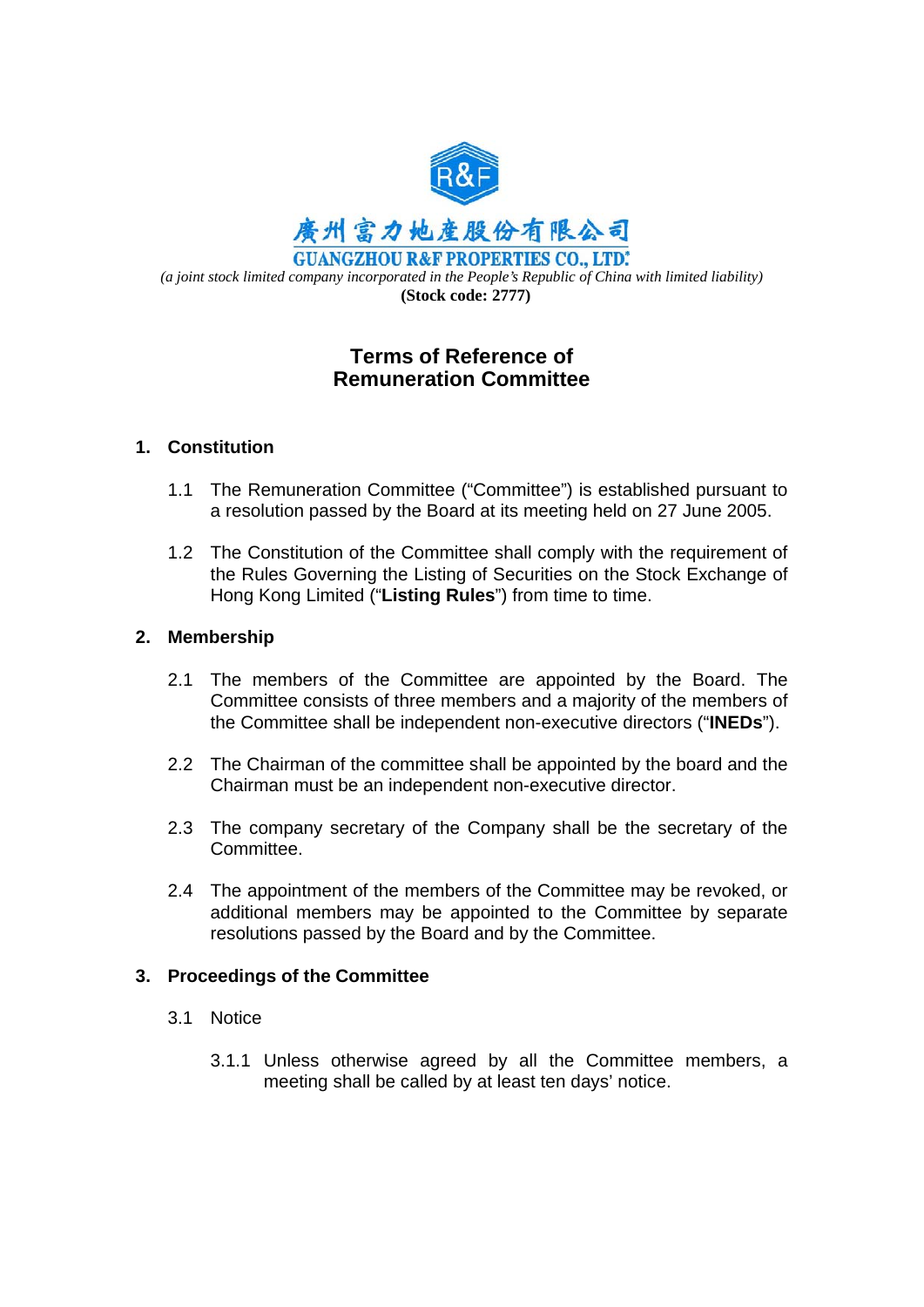

# **Terms of Reference of Remuneration Committee**

### **1. Constitution**

- 1.1 The Remuneration Committee ("Committee") is established pursuant to a resolution passed by the Board at its meeting held on 27 June 2005.
- 1.2 The Constitution of the Committee shall comply with the requirement of the Rules Governing the Listing of Securities on the Stock Exchange of Hong Kong Limited ("**Listing Rules**") from time to time.

#### **2. Membership**

- 2.1 The members of the Committee are appointed by the Board. The Committee consists of three members and a majority of the members of the Committee shall be independent non-executive directors ("**INEDs**").
- 2.2 The Chairman of the committee shall be appointed by the board and the Chairman must be an independent non-executive director.
- 2.3 The company secretary of the Company shall be the secretary of the Committee.
- 2.4 The appointment of the members of the Committee may be revoked, or additional members may be appointed to the Committee by separate resolutions passed by the Board and by the Committee.

#### **3. Proceedings of the Committee**

- 3.1 Notice
	- 3.1.1 Unless otherwise agreed by all the Committee members, a meeting shall be called by at least ten days' notice.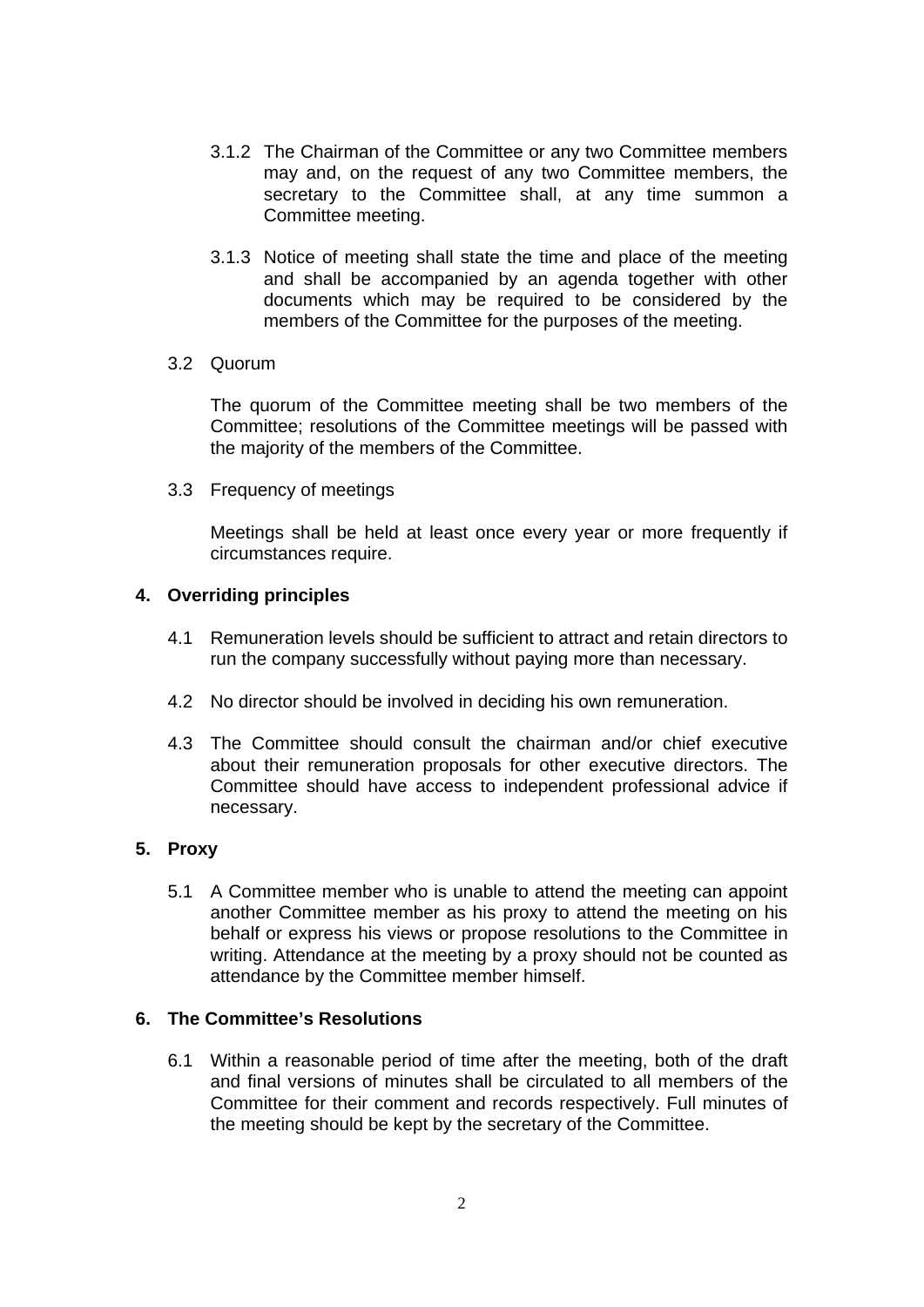- 3.1.2 The Chairman of the Committee or any two Committee members may and, on the request of any two Committee members, the secretary to the Committee shall, at any time summon a Committee meeting.
- 3.1.3 Notice of meeting shall state the time and place of the meeting and shall be accompanied by an agenda together with other documents which may be required to be considered by the members of the Committee for the purposes of the meeting.
- 3.2 Quorum

The quorum of the Committee meeting shall be two members of the Committee; resolutions of the Committee meetings will be passed with the majority of the members of the Committee.

3.3 Frequency of meetings

Meetings shall be held at least once every year or more frequently if circumstances require.

### **4. Overriding principles**

- 4.1 Remuneration levels should be sufficient to attract and retain directors to run the company successfully without paying more than necessary.
- 4.2 No director should be involved in deciding his own remuneration.
- 4.3 The Committee should consult the chairman and/or chief executive about their remuneration proposals for other executive directors. The Committee should have access to independent professional advice if necessary.

### **5. Proxy**

5.1 A Committee member who is unable to attend the meeting can appoint another Committee member as his proxy to attend the meeting on his behalf or express his views or propose resolutions to the Committee in writing. Attendance at the meeting by a proxy should not be counted as attendance by the Committee member himself.

## **6. The Committee's Resolutions**

6.1 Within a reasonable period of time after the meeting, both of the draft and final versions of minutes shall be circulated to all members of the Committee for their comment and records respectively. Full minutes of the meeting should be kept by the secretary of the Committee.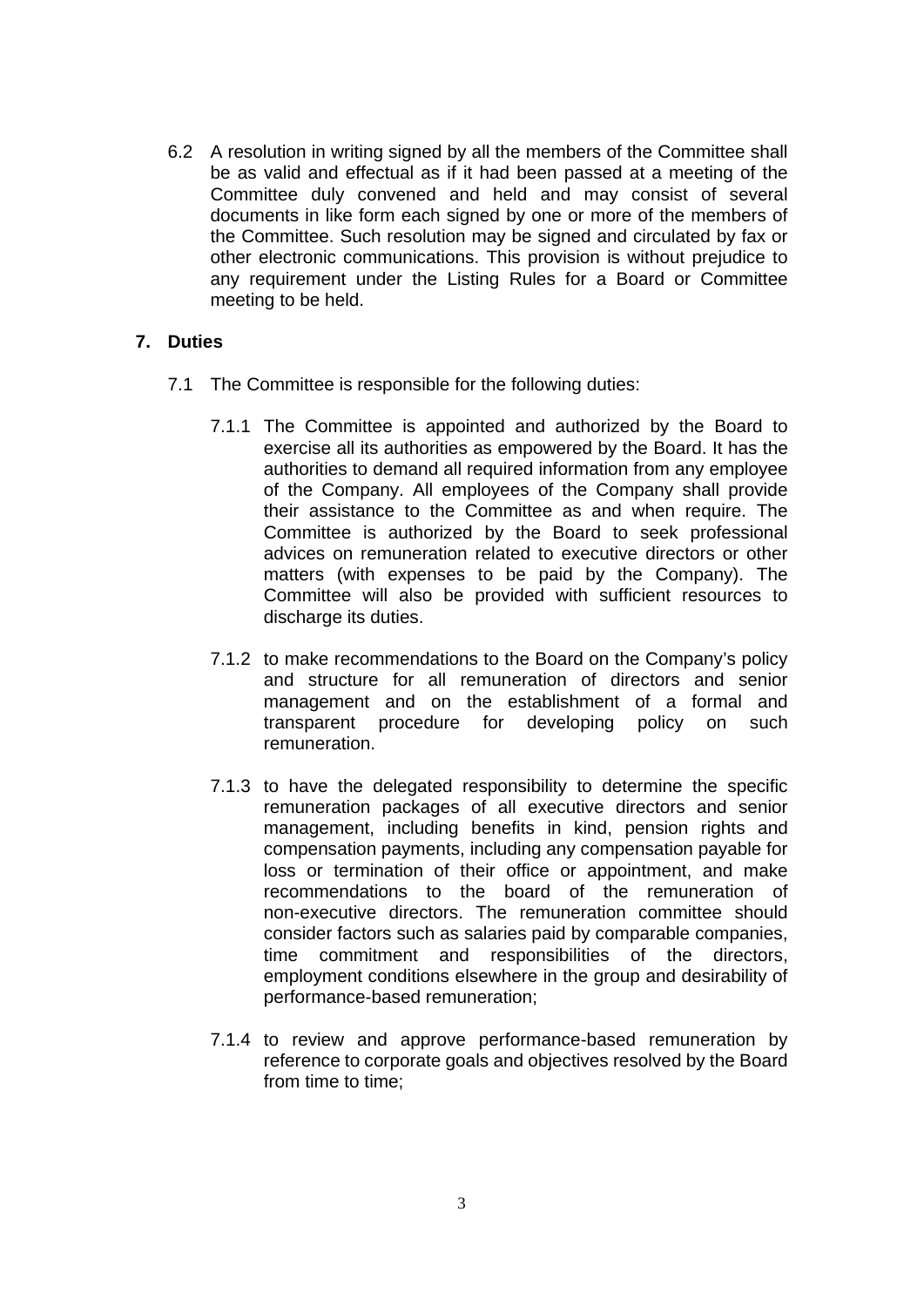6.2 A resolution in writing signed by all the members of the Committee shall be as valid and effectual as if it had been passed at a meeting of the Committee duly convened and held and may consist of several documents in like form each signed by one or more of the members of the Committee. Such resolution may be signed and circulated by fax or other electronic communications. This provision is without prejudice to any requirement under the Listing Rules for a Board or Committee meeting to be held.

### **7. Duties**

- 7.1 The Committee is responsible for the following duties:
	- 7.1.1 The Committee is appointed and authorized by the Board to exercise all its authorities as empowered by the Board. It has the authorities to demand all required information from any employee of the Company. All employees of the Company shall provide their assistance to the Committee as and when require. The Committee is authorized by the Board to seek professional advices on remuneration related to executive directors or other matters (with expenses to be paid by the Company). The Committee will also be provided with sufficient resources to discharge its duties.
	- 7.1.2 to make recommendations to the Board on the Company's policy and structure for all remuneration of directors and senior management and on the establishment of a formal and transparent procedure for developing policy on such remuneration.
	- 7.1.3 to have the delegated responsibility to determine the specific remuneration packages of all executive directors and senior management, including benefits in kind, pension rights and compensation payments, including any compensation payable for loss or termination of their office or appointment, and make recommendations to the board of the remuneration of non-executive directors. The remuneration committee should consider factors such as salaries paid by comparable companies, time commitment and responsibilities of the directors, employment conditions elsewhere in the group and desirability of performance-based remuneration;
	- 7.1.4 to review and approve performance-based remuneration by reference to corporate goals and objectives resolved by the Board from time to time;